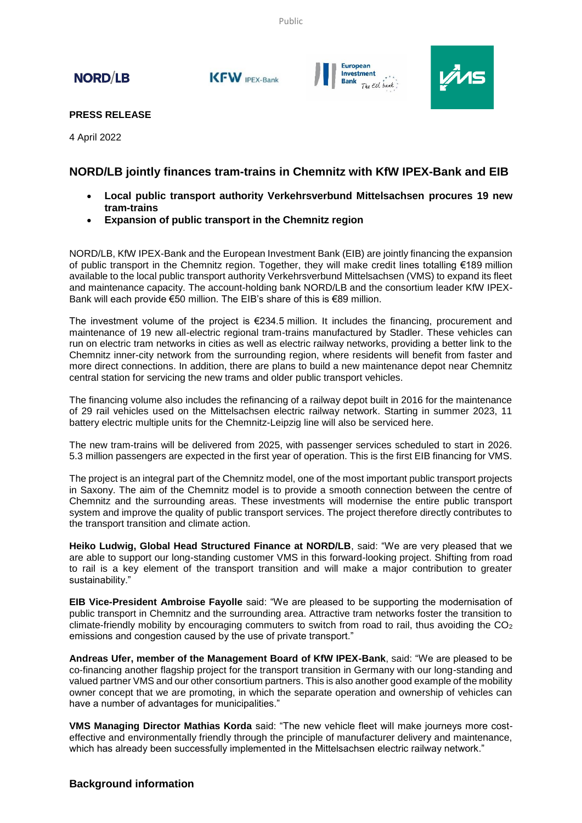Public

# **NORD/LB**

KFW IPEX-Bank





### **PRESS RELEASE**

4 April 2022

## **NORD/LB jointly finances tram-trains in Chemnitz with KfW IPEX-Bank and EIB**

- **Local public transport authority Verkehrsverbund Mittelsachsen procures 19 new tram-trains**
- **Expansion of public transport in the Chemnitz region**

NORD/LB, KfW IPEX-Bank and the European Investment Bank (EIB) are jointly financing the expansion of public transport in the Chemnitz region. Together, they will make credit lines totalling €189 million available to the local public transport authority Verkehrsverbund Mittelsachsen (VMS) to expand its fleet and maintenance capacity. The account-holding bank NORD/LB and the consortium leader KfW IPEX-Bank will each provide €50 million. The EIB's share of this is €89 million.

The investment volume of the project is  $\epsilon$ 234.5 million. It includes the financing, procurement and maintenance of 19 new all-electric regional tram-trains manufactured by Stadler. These vehicles can run on electric tram networks in cities as well as electric railway networks, providing a better link to the Chemnitz inner-city network from the surrounding region, where residents will benefit from faster and more direct connections. In addition, there are plans to build a new maintenance depot near Chemnitz central station for servicing the new trams and older public transport vehicles.

The financing volume also includes the refinancing of a railway depot built in 2016 for the maintenance of 29 rail vehicles used on the Mittelsachsen electric railway network. Starting in summer 2023, 11 battery electric multiple units for the Chemnitz-Leipzig line will also be serviced here.

The new tram-trains will be delivered from 2025, with passenger services scheduled to start in 2026. 5.3 million passengers are expected in the first year of operation. This is the first EIB financing for VMS.

The project is an integral part of the Chemnitz model, one of the most important public transport projects in Saxony. The aim of the Chemnitz model is to provide a smooth connection between the centre of Chemnitz and the surrounding areas. These investments will modernise the entire public transport system and improve the quality of public transport services. The project therefore directly contributes to the transport transition and climate action.

**Heiko Ludwig, Global Head Structured Finance at NORD/LB**, said: "We are very pleased that we are able to support our long-standing customer VMS in this forward-looking project. Shifting from road to rail is a key element of the transport transition and will make a major contribution to greater sustainability."

**EIB Vice-President Ambroise Fayolle** said: "We are pleased to be supporting the modernisation of public transport in Chemnitz and the surrounding area. Attractive tram networks foster the transition to climate-friendly mobility by encouraging commuters to switch from road to rail, thus avoiding the CO<sub>2</sub> emissions and congestion caused by the use of private transport."

**Andreas Ufer, member of the Management Board of KfW IPEX-Bank**, said: "We are pleased to be co-financing another flagship project for the transport transition in Germany with our long-standing and valued partner VMS and our other consortium partners. This is also another good example of the mobility owner concept that we are promoting, in which the separate operation and ownership of vehicles can have a number of advantages for municipalities."

**VMS Managing Director Mathias Korda** said: "The new vehicle fleet will make journeys more costeffective and environmentally friendly through the principle of manufacturer delivery and maintenance, which has already been successfully implemented in the Mittelsachsen electric railway network."